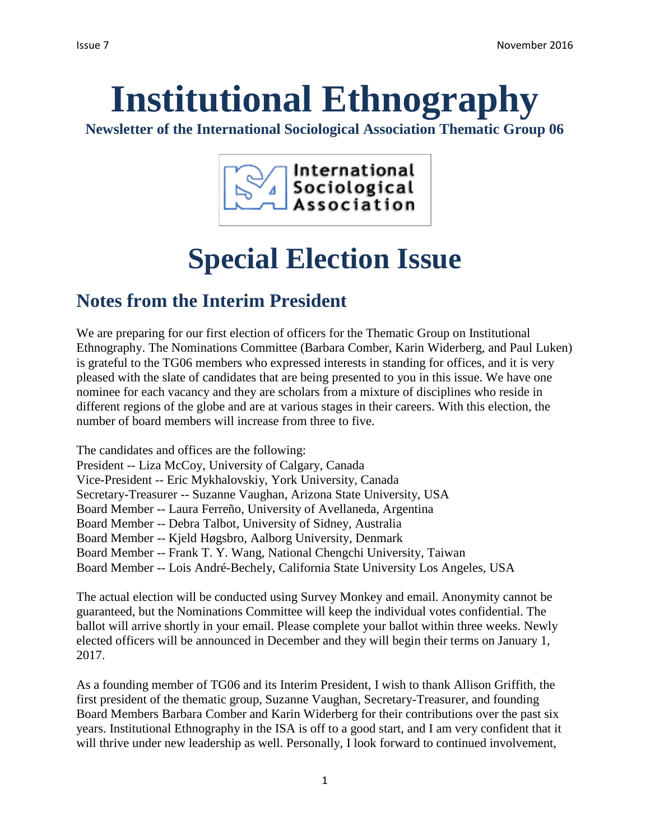# **Institutional Ethnography**

**Newsletter of the International Sociological Association Thematic Group 06**



## **Special Election Issue**

## **Notes from the Interim President**

We are preparing for our first election of officers for the Thematic Group on Institutional Ethnography. The Nominations Committee (Barbara Comber, Karin Widerberg, and Paul Luken) is grateful to the TG06 members who expressed interests in standing for offices, and it is very pleased with the slate of candidates that are being presented to you in this issue. We have one nominee for each vacancy and they are scholars from a mixture of disciplines who reside in different regions of the globe and are at various stages in their careers. With this election, the number of board members will increase from three to five.

The candidates and offices are the following: President -- Liza McCoy, University of Calgary, Canada Vice-President -- Eric Mykhalovskiy, York University, Canada Secretary-Treasurer -- Suzanne Vaughan, Arizona State University, USA Board Member -- Laura Ferreño, University of Avellaneda, Argentina Board Member -- Debra Talbot, University of Sidney, Australia Board Member -- Kjeld Høgsbro, Aalborg University, Denmark Board Member -- Frank T. Y. Wang, National Chengchi University, Taiwan Board Member -- Lois André-Bechely, California State University Los Angeles, USA

The actual election will be conducted using Survey Monkey and email. Anonymity cannot be guaranteed, but the Nominations Committee will keep the individual votes confidential. The ballot will arrive shortly in your email. Please complete your ballot within three weeks. Newly elected officers will be announced in December and they will begin their terms on January 1, 2017.

As a founding member of TG06 and its Interim President, I wish to thank Allison Griffith, the first president of the thematic group, Suzanne Vaughan, Secretary-Treasurer, and founding Board Members Barbara Comber and Karin Widerberg for their contributions over the past six years. Institutional Ethnography in the ISA is off to a good start, and I am very confident that it will thrive under new leadership as well. Personally, I look forward to continued involvement,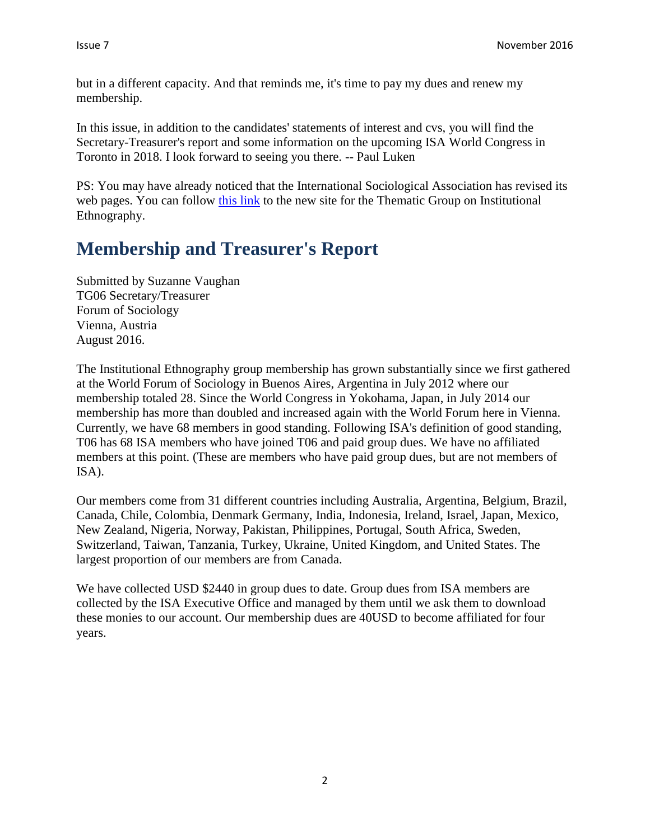but in a different capacity. And that reminds me, it's time to pay my dues and renew my membership.

In this issue, in addition to the candidates' statements of interest and cvs, you will find the Secretary-Treasurer's report and some information on the upcoming ISA World Congress in Toronto in 2018. I look forward to seeing you there. -- Paul Luken

PS: You may have already noticed that the International Sociological Association has revised its web pages. You can follow [this link](http://www.isa-sociology.org/en/research-networks/thematic-groups/tg06-institutional-ethnography/) to the new site for the Thematic Group on Institutional Ethnography.

## **Membership and Treasurer's Report**

Submitted by Suzanne Vaughan TG06 Secretary/Treasurer Forum of Sociology Vienna, Austria August 2016.

The Institutional Ethnography group membership has grown substantially since we first gathered at the World Forum of Sociology in Buenos Aires, Argentina in July 2012 where our membership totaled 28. Since the World Congress in Yokohama, Japan, in July 2014 our membership has more than doubled and increased again with the World Forum here in Vienna. Currently, we have 68 members in good standing. Following ISA's definition of good standing, T06 has 68 ISA members who have joined T06 and paid group dues. We have no affiliated members at this point. (These are members who have paid group dues, but are not members of ISA).

Our members come from 31 different countries including Australia, Argentina, Belgium, Brazil, Canada, Chile, Colombia, Denmark Germany, India, Indonesia, Ireland, Israel, Japan, Mexico, New Zealand, Nigeria, Norway, Pakistan, Philippines, Portugal, South Africa, Sweden, Switzerland, Taiwan, Tanzania, Turkey, Ukraine, United Kingdom, and United States. The largest proportion of our members are from Canada.

We have collected USD \$2440 in group dues to date. Group dues from ISA members are collected by the ISA Executive Office and managed by them until we ask them to download these monies to our account. Our membership dues are 40USD to become affiliated for four years.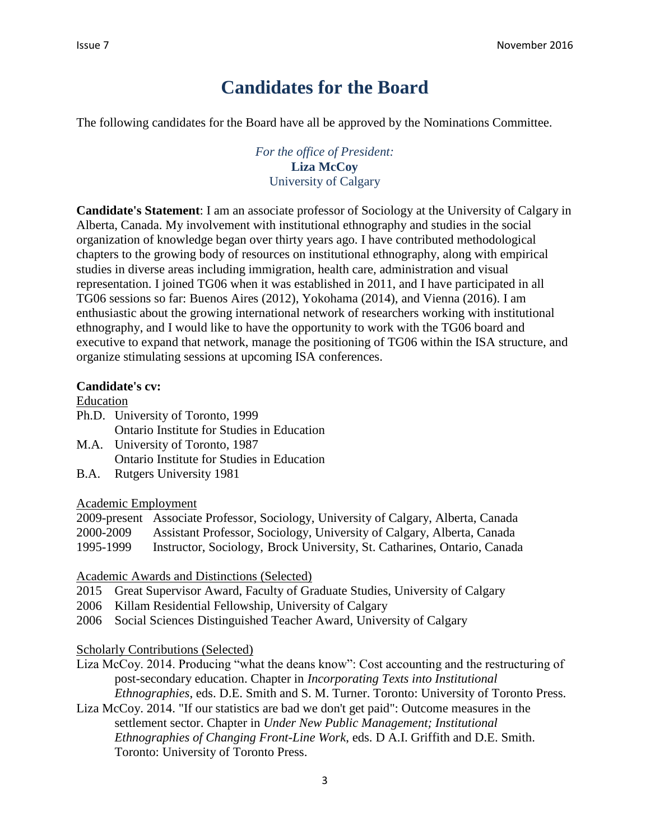## **Candidates for the Board**

The following candidates for the Board have all be approved by the Nominations Committee.

*For the office of President:* **Liza McCoy** University of Calgary

**Candidate's Statement**: I am an associate professor of Sociology at the University of Calgary in Alberta, Canada. My involvement with institutional ethnography and studies in the social organization of knowledge began over thirty years ago. I have contributed methodological chapters to the growing body of resources on institutional ethnography, along with empirical studies in diverse areas including immigration, health care, administration and visual representation. I joined TG06 when it was established in 2011, and I have participated in all TG06 sessions so far: Buenos Aires (2012), Yokohama (2014), and Vienna (2016). I am enthusiastic about the growing international network of researchers working with institutional ethnography, and I would like to have the opportunity to work with the TG06 board and executive to expand that network, manage the positioning of TG06 within the ISA structure, and organize stimulating sessions at upcoming ISA conferences.

#### **Candidate's cv:**

#### Education

- Ph.D. University of Toronto, 1999 Ontario Institute for Studies in Education
- M.A. University of Toronto, 1987 Ontario Institute for Studies in Education
- B.A. Rutgers University 1981

#### Academic Employment

|           | 2009-present Associate Professor, Sociology, University of Calgary, Alberta, Canada |
|-----------|-------------------------------------------------------------------------------------|
| 2000-2009 | Assistant Professor, Sociology, University of Calgary, Alberta, Canada              |
| 1995-1999 | Instructor, Sociology, Brock University, St. Catharines, Ontario, Canada            |

Academic Awards and Distinctions (Selected)

- 2015 Great Supervisor Award, Faculty of Graduate Studies, University of Calgary
- 2006 Killam Residential Fellowship, University of Calgary
- 2006 Social Sciences Distinguished Teacher Award, University of Calgary

Scholarly Contributions (Selected)

- Liza McCoy. 2014. Producing "what the deans know": Cost accounting and the restructuring of post-secondary education. Chapter in *Incorporating Texts into Institutional Ethnographies*, eds. D.E. Smith and S. M. Turner. Toronto: University of Toronto Press.
- Liza McCoy. 2014. "If our statistics are bad we don't get paid": Outcome measures in the settlement sector. Chapter in *Under New Public Management; Institutional Ethnographies of Changing Front-Line Work*, eds. D A.I. Griffith and D.E. Smith. Toronto: University of Toronto Press.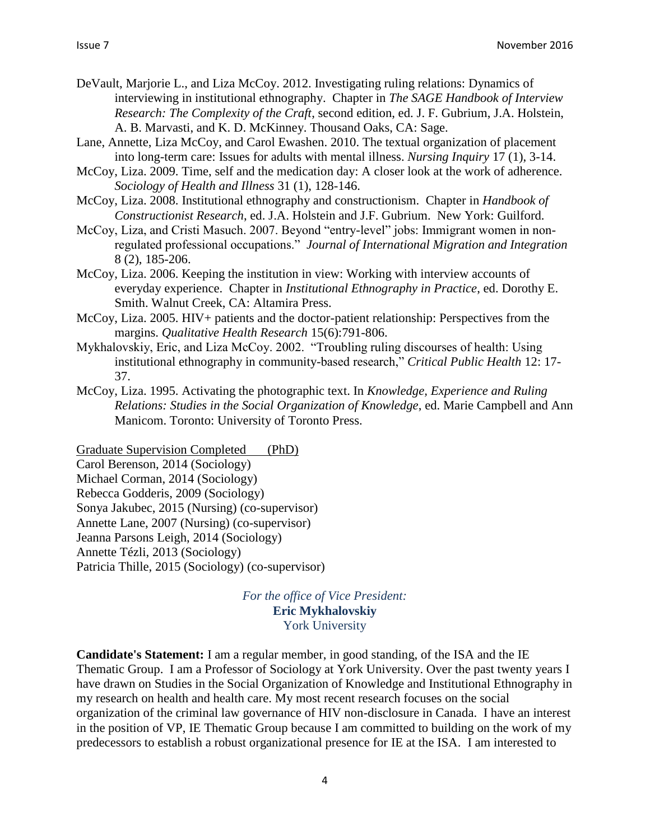- DeVault, Marjorie L., and Liza McCoy. 2012. Investigating ruling relations: Dynamics of interviewing in institutional ethnography. Chapter in *The SAGE Handbook of Interview Research: The Complexity of the Craft*, second edition, ed. J. F. Gubrium, J.A. Holstein, A. B. Marvasti, and K. D. McKinney. Thousand Oaks, CA: Sage.
- Lane, Annette, Liza McCoy, and Carol Ewashen. 2010. The textual organization of placement into long-term care: Issues for adults with mental illness. *Nursing Inquiry* 17 (1), 3-14.
- McCoy, Liza. 2009. Time, self and the medication day: A closer look at the work of adherence. *Sociology of Health and Illness* 31 (1), 128-146.
- McCoy, Liza. 2008. Institutional ethnography and constructionism. Chapter in *Handbook of Constructionist Research*, ed. J.A. Holstein and J.F. Gubrium. New York: Guilford.
- McCoy, Liza, and Cristi Masuch. 2007. Beyond "entry-level" jobs: Immigrant women in nonregulated professional occupations." *Journal of International Migration and Integration* 8 (2), 185-206.
- McCoy, Liza. 2006. Keeping the institution in view: Working with interview accounts of everyday experience. Chapter in *Institutional Ethnography in Practice*, ed. Dorothy E. Smith. Walnut Creek, CA: Altamira Press.
- McCoy, Liza. 2005. HIV+ patients and the doctor-patient relationship: Perspectives from the margins. *Qualitative Health Research* 15(6):791-806.
- Mykhalovskiy, Eric, and Liza McCoy. 2002. "Troubling ruling discourses of health: Using institutional ethnography in community-based research," *Critical Public Health* 12: 17- 37.
- McCoy, Liza. 1995. Activating the photographic text. In *Knowledge, Experience and Ruling Relations: Studies in the Social Organization of Knowledge*, ed. Marie Campbell and Ann Manicom. Toronto: University of Toronto Press.

Graduate Supervision Completed (PhD) Carol Berenson, 2014 (Sociology) Michael Corman, 2014 (Sociology) Rebecca Godderis, 2009 (Sociology) Sonya Jakubec, 2015 (Nursing) (co-supervisor) Annette Lane, 2007 (Nursing) (co-supervisor) Jeanna Parsons Leigh, 2014 (Sociology) Annette Tézli, 2013 (Sociology) Patricia Thille, 2015 (Sociology) (co-supervisor)

> *For the office of Vice President:* **Eric Mykhalovskiy** York University

**Candidate's Statement:** I am a regular member, in good standing, of the ISA and the IE Thematic Group. I am a Professor of Sociology at York University. Over the past twenty years I have drawn on Studies in the Social Organization of Knowledge and Institutional Ethnography in my research on health and health care. My most recent research focuses on the social organization of the criminal law governance of HIV non-disclosure in Canada. I have an interest in the position of VP, IE Thematic Group because I am committed to building on the work of my predecessors to establish a robust organizational presence for IE at the ISA. I am interested to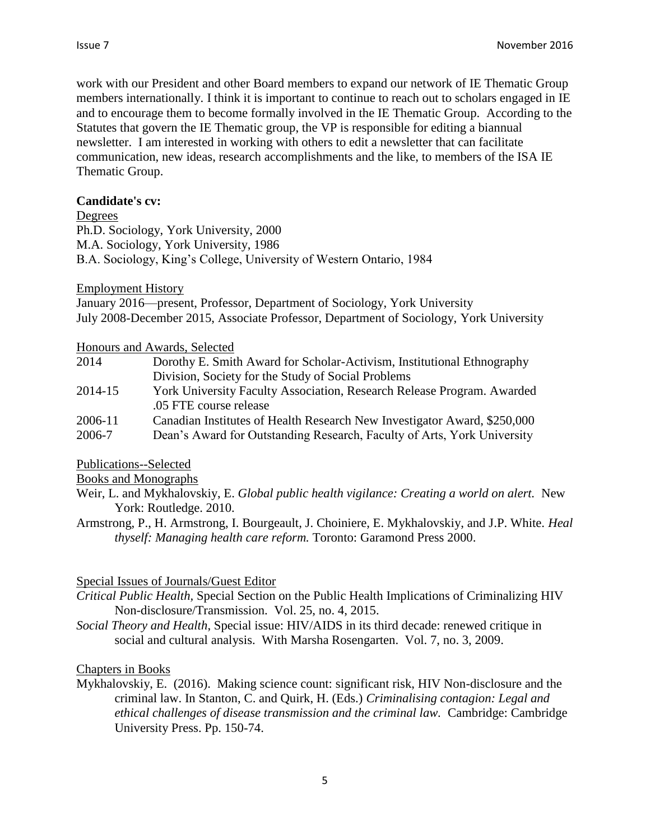work with our President and other Board members to expand our network of IE Thematic Group members internationally. I think it is important to continue to reach out to scholars engaged in IE and to encourage them to become formally involved in the IE Thematic Group. According to the Statutes that govern the IE Thematic group, the VP is responsible for editing a biannual newsletter. I am interested in working with others to edit a newsletter that can facilitate communication, new ideas, research accomplishments and the like, to members of the ISA IE Thematic Group.

#### **Candidate's cv:**

Degrees

Ph.D. Sociology, York University, 2000 M.A. Sociology, York University, 1986 B.A. Sociology, King's College, University of Western Ontario, 1984

#### Employment History

January 2016—present, Professor, Department of Sociology, York University July 2008-December 2015, Associate Professor, Department of Sociology, York University

Honours and Awards, Selected

| 2014    | Dorothy E. Smith Award for Scholar-Activism, Institutional Ethnography   |
|---------|--------------------------------------------------------------------------|
|         | Division, Society for the Study of Social Problems                       |
| 2014-15 | York University Faculty Association, Research Release Program. Awarded   |
|         | .05 FTE course release                                                   |
| 2006-11 | Canadian Institutes of Health Research New Investigator Award, \$250,000 |
| 2006-7  | Dean's Award for Outstanding Research, Faculty of Arts, York University  |

Publications--Selected

Books and Monographs

- Weir, L. and Mykhalovskiy, E. *Global public health vigilance: Creating a world on alert.* New York: Routledge. 2010.
- Armstrong, P., H. Armstrong, I. Bourgeault, J. Choiniere, E. Mykhalovskiy, and J.P. White. *Heal thyself: Managing health care reform.* Toronto: Garamond Press 2000.

#### Special Issues of Journals/Guest Editor

- *Critical Public Health,* Special Section on the Public Health Implications of Criminalizing HIV Non-disclosure/Transmission. Vol. 25, no. 4, 2015.
- *Social Theory and Health*, Special issue: HIV/AIDS in its third decade: renewed critique in social and cultural analysis. With Marsha Rosengarten. Vol. 7, no. 3, 2009.

#### Chapters in Books

Mykhalovskiy, E. (2016). Making science count: significant risk, HIV Non-disclosure and the criminal law. In Stanton, C. and Quirk, H. (Eds.) *Criminalising contagion: Legal and ethical challenges of disease transmission and the criminal law.* Cambridge: Cambridge University Press. Pp. 150-74.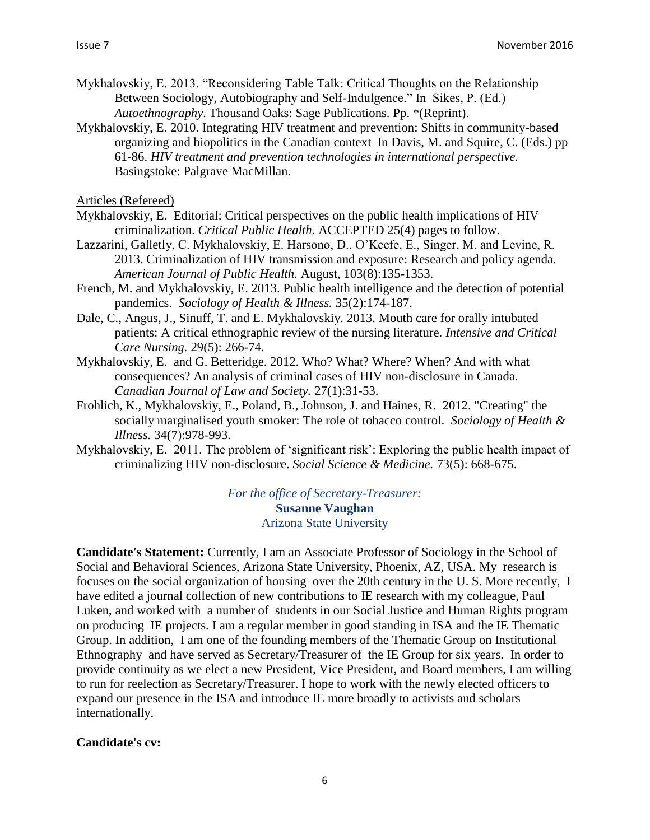- Mykhalovskiy, E. 2013. "Reconsidering Table Talk: Critical Thoughts on the Relationship Between Sociology, Autobiography and Self-Indulgence." In Sikes, P. (Ed.) *Autoethnography*. Thousand Oaks: Sage Publications. Pp. \*(Reprint).
- Mykhalovskiy, E. 2010. Integrating HIV treatment and prevention: Shifts in community-based organizing and biopolitics in the Canadian context In Davis, M. and Squire, C. (Eds.) pp 61-86. *HIV treatment and prevention technologies in international perspective.* Basingstoke: Palgrave MacMillan.

Articles (Refereed)

- Mykhalovskiy, E. Editorial: Critical perspectives on the public health implications of HIV criminalization. *Critical Public Health.* ACCEPTED 25(4) pages to follow.
- Lazzarini, Galletly, C. Mykhalovskiy, E. Harsono, D., O'Keefe, E., Singer, M. and Levine, R. 2013. Criminalization of HIV transmission and exposure: Research and policy agenda. *American Journal of Public Health.* August, 103(8):135-1353.
- French, M. and Mykhalovskiy, E. 2013. Public health intelligence and the detection of potential pandemics. *Sociology of Health & Illness.* 35(2):174-187.
- Dale, C., Angus, J., Sinuff, T. and E. Mykhalovskiy. 2013. Mouth care for orally intubated patients: A critical ethnographic review of the nursing literature. *Intensive and Critical Care Nursing.* 29(5): 266-74.
- Mykhalovskiy, E. and G. Betteridge. 2012. Who? What? Where? When? And with what consequences? An analysis of criminal cases of HIV non-disclosure in Canada. *Canadian Journal of Law and Society.* 27(1):31-53.
- Frohlich, K., Mykhalovskiy, E., Poland, B., Johnson, J. and Haines, R. 2012. "Creating" the socially marginalised youth smoker: The role of tobacco control. *Sociology of Health & Illness.* 34(7):978-993.
- Mykhalovskiy, E. 2011. The problem of 'significant risk': Exploring the public health impact of criminalizing HIV non-disclosure. *Social Science & Medicine.* 73(5): 668-675.

*For the office of Secretary-Treasurer:* **Susanne Vaughan** Arizona State University

**Candidate's Statement:** Currently, I am an Associate Professor of Sociology in the School of Social and Behavioral Sciences, Arizona State University, Phoenix, AZ, USA. My research is focuses on the social organization of housing over the 20th century in the U. S. More recently, I have edited a journal collection of new contributions to IE research with my colleague, Paul Luken, and worked with a number of students in our Social Justice and Human Rights program on producing IE projects. I am a regular member in good standing in ISA and the IE Thematic Group. In addition, I am one of the founding members of the Thematic Group on Institutional Ethnography and have served as Secretary/Treasurer of the IE Group for six years. In order to provide continuity as we elect a new President, Vice President, and Board members, I am willing to run for reelection as Secretary/Treasurer. I hope to work with the newly elected officers to expand our presence in the ISA and introduce IE more broadly to activists and scholars internationally.

#### **Candidate's cv:**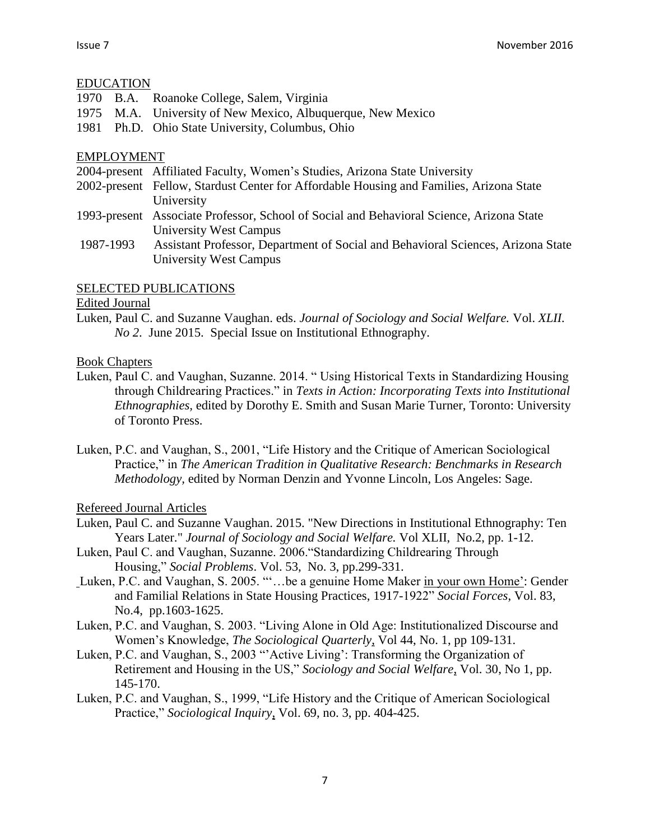#### EDUCATION

1970 B.A. Roanoke College, Salem, Virginia 1975 M.A. University of New Mexico, Albuquerque, New Mexico 1981 Ph.D. Ohio State University, Columbus, Ohio

#### EMPLOYMENT

- 2004-present Affiliated Faculty, Women's Studies, Arizona State University
- 2002-present Fellow, Stardust Center for Affordable Housing and Families, Arizona State University
- 1993-present Associate Professor, School of Social and Behavioral Science, Arizona State University West Campus
- 1987-1993 Assistant Professor, Department of Social and Behavioral Sciences, Arizona State University West Campus

#### SELECTED PUBLICATIONS

#### Edited Journal

Luken, Paul C. and Suzanne Vaughan. eds. *Journal of Sociology and Social Welfare.* Vol. *XLII. No 2*. June 2015.Special Issue on Institutional Ethnography.

#### Book Chapters

- Luken, Paul C. and Vaughan, Suzanne. 2014. " Using Historical Texts in Standardizing Housing through Childrearing Practices." in *Texts in Action: Incorporating Texts into Institutional Ethnographies,* edited by Dorothy E. Smith and Susan Marie Turner, Toronto: University of Toronto Press.
- Luken, P.C. and Vaughan, S., 2001, "Life History and the Critique of American Sociological Practice," in *The American Tradition in Qualitative Research: Benchmarks in Research Methodology,* edited by Norman Denzin and Yvonne Lincoln, Los Angeles: Sage.

#### Refereed Journal Articles

- Luken, Paul C. and Suzanne Vaughan. 2015. "New Directions in Institutional Ethnography: Ten Years Later." *Journal of Sociology and Social Welfare.* Vol XLII, No.2, pp. 1-12.
- Luken, Paul C. and Vaughan, Suzanne. 2006."Standardizing Childrearing Through Housing," *Social Problems*. Vol. 53, No. 3, pp.299-331.
- Luken, P.C. and Vaughan, S. 2005. ""...be a genuine Home Maker in your own Home': Gender and Familial Relations in State Housing Practices, 1917-1922" *Social Forces*, Vol. 83, No.4, pp.1603-1625.
- Luken, P.C. and Vaughan, S. 2003. "Living Alone in Old Age: Institutionalized Discourse and Women's Knowledge, *The Sociological Quarterly*, Vol 44, No. 1, pp 109-131.
- Luken, P.C. and Vaughan, S., 2003 "'Active Living': Transforming the Organization of Retirement and Housing in the US," *Sociology and Social Welfare*, Vol. 30, No 1, pp. 145-170.
- Luken, P.C. and Vaughan, S., 1999, "Life History and the Critique of American Sociological Practice," *Sociological Inquiry*, Vol. 69, no. 3, pp. 404-425.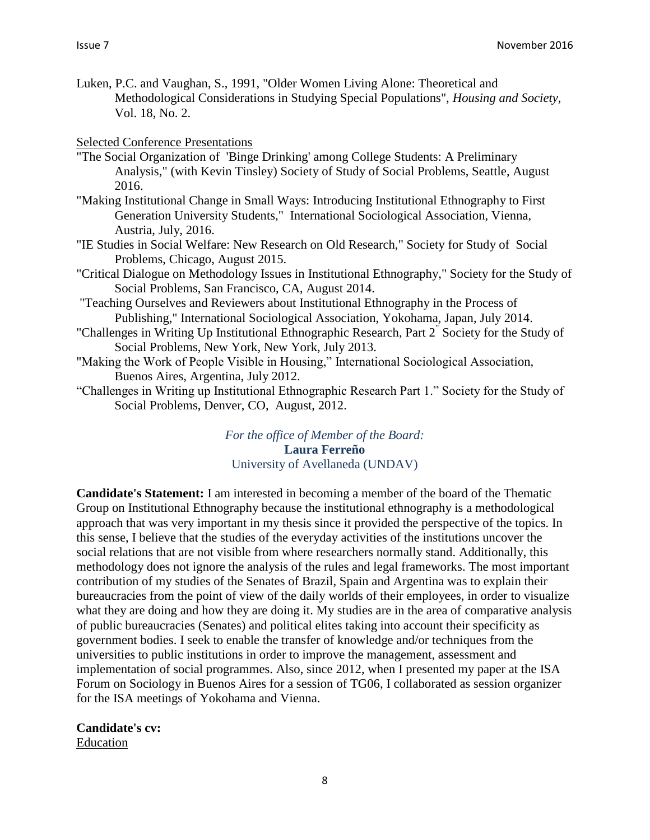Luken, P.C. and Vaughan, S., 1991, "Older Women Living Alone: Theoretical and Methodological Considerations in Studying Special Populations", *Housing and Society*, Vol. 18, No. 2.

#### Selected Conference Presentations

- "The Social Organization of 'Binge Drinking' among College Students: A Preliminary Analysis," (with Kevin Tinsley) Society of Study of Social Problems, Seattle, August 2016.
- "Making Institutional Change in Small Ways: Introducing Institutional Ethnography to First Generation University Students," International Sociological Association, Vienna, Austria, July, 2016.
- "IE Studies in Social Welfare: New Research on Old Research," Society for Study of Social Problems, Chicago, August 2015.
- "Critical Dialogue on Methodology Issues in Institutional Ethnography," Society for the Study of Social Problems, San Francisco, CA, August 2014.
- "Teaching Ourselves and Reviewers about Institutional Ethnography in the Process of Publishing," International Sociological Association, Yokohama, Japan, July 2014.
- "Challenges in Writing Up Institutional Ethnographic Research, Part 2" Society for the Study of Social Problems, New York, New York, July 2013.
- "Making the Work of People Visible in Housing," International Sociological Association, Buenos Aires, Argentina, July 2012.
- "Challenges in Writing up Institutional Ethnographic Research Part 1." Society for the Study of Social Problems, Denver, CO, August, 2012.

*For the office of Member of the Board:* **Laura Ferreño** University of Avellaneda (UNDAV)

**Candidate's Statement:** I am interested in becoming a member of the board of the Thematic Group on Institutional Ethnography because the institutional ethnography is a methodological approach that was very important in my thesis since it provided the perspective of the topics. In this sense, I believe that the studies of the everyday activities of the institutions uncover the social relations that are not visible from where researchers normally stand. Additionally, this methodology does not ignore the analysis of the rules and legal frameworks. The most important contribution of my studies of the Senates of Brazil, Spain and Argentina was to explain their bureaucracies from the point of view of the daily worlds of their employees, in order to visualize what they are doing and how they are doing it. My studies are in the area of comparative analysis of public bureaucracies (Senates) and political elites taking into account their specificity as government bodies. I seek to enable the transfer of knowledge and/or techniques from the universities to public institutions in order to improve the management, assessment and implementation of social programmes. Also, since 2012, when I presented my paper at the ISA Forum on Sociology in Buenos Aires for a session of TG06, I collaborated as session organizer for the ISA meetings of Yokohama and Vienna.

**Candidate's cv:** Education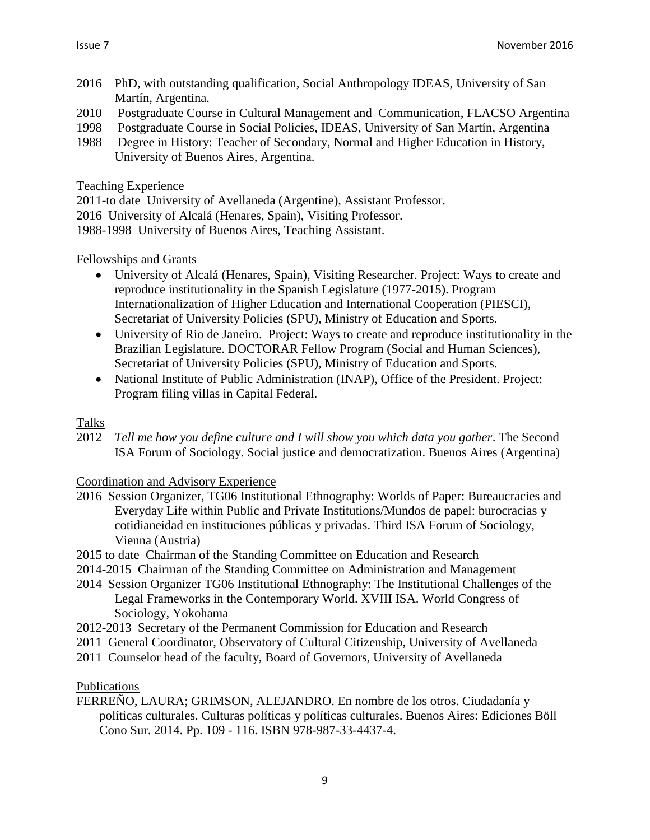- 2016 PhD, with outstanding qualification, Social Anthropology IDEAS, University of San Martín, Argentina.
- 2010 Postgraduate Course in Cultural Management and Communication, FLACSO Argentina
- 1998 Postgraduate Course in Social Policies, IDEAS, University of San Martín, Argentina
- 1988 Degree in History: Teacher of Secondary, Normal and Higher Education in History, University of Buenos Aires, Argentina.

Teaching Experience

2011-to date University of Avellaneda (Argentine), Assistant Professor.

2016 University of Alcalá (Henares, Spain), Visiting Professor.

1988-1998 University of Buenos Aires, Teaching Assistant.

Fellowships and Grants

- University of Alcalá (Henares, Spain), Visiting Researcher. Project: Ways to create and reproduce institutionality in the Spanish Legislature (1977-2015). Program Internationalization of Higher Education and International Cooperation (PIESCI), Secretariat of University Policies (SPU), Ministry of Education and Sports.
- University of Rio de Janeiro. Project: Ways to create and reproduce institutionality in the Brazilian Legislature. DOCTORAR Fellow Program (Social and Human Sciences), Secretariat of University Policies (SPU), Ministry of Education and Sports.
- National Institute of Public Administration (INAP), Office of the President. Project: Program filing villas in Capital Federal.

#### Talks

2012 *Tell me how you define culture and I will show you which data you gather*. The Second ISA Forum of Sociology. Social justice and democratization. Buenos Aires (Argentina)

#### Coordination and Advisory Experience

- 2016 Session Organizer, TG06 Institutional Ethnography: Worlds of Paper: Bureaucracies and Everyday Life within Public and Private Institutions/Mundos de papel: burocracias y cotidianeidad en instituciones públicas y privadas. Third ISA Forum of Sociology, Vienna (Austria)
- 2015 to date Chairman of the Standing Committee on Education and Research
- 2014-2015 Chairman of the Standing Committee on Administration and Management
- 2014 Session Organizer TG06 Institutional Ethnography: The Institutional Challenges of the Legal Frameworks in the Contemporary World. XVIII ISA. World Congress of Sociology, Yokohama
- 2012-2013 Secretary of the Permanent Commission for Education and Research
- 2011 General Coordinator, Observatory of Cultural Citizenship, University of Avellaneda
- 2011 Counselor head of the faculty, Board of Governors, University of Avellaneda

Publications

FERREÑO, LAURA; GRIMSON, ALEJANDRO. En nombre de los otros. Ciudadanía y políticas culturales. Culturas políticas y políticas culturales. Buenos Aires: Ediciones Böll Cono Sur. 2014. Pp. 109 - 116. ISBN 978-987-33-4437-4.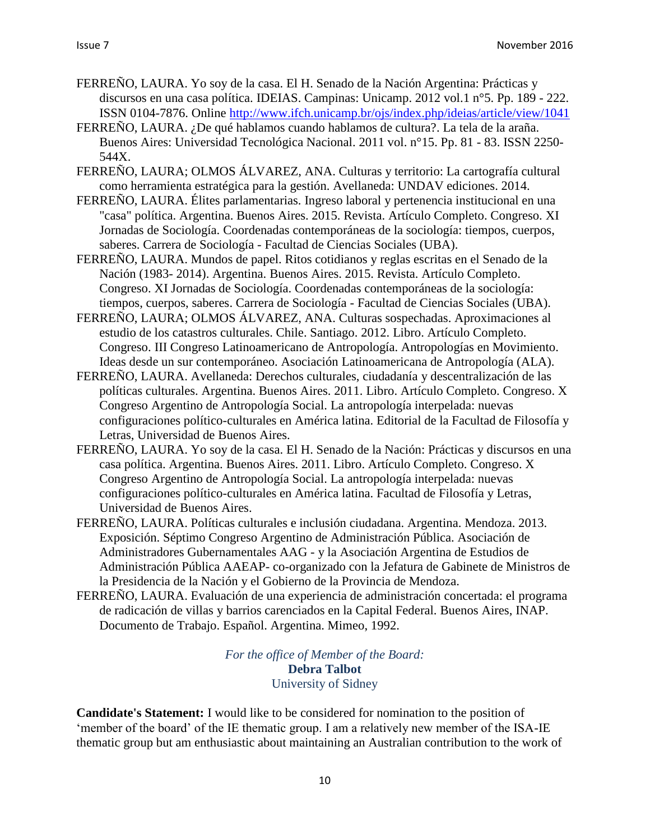- FERREÑO, LAURA. Yo soy de la casa. El H. Senado de la Nación Argentina: Prácticas y discursos en una casa política. IDEIAS. Campinas: Unicamp. 2012 vol.1 n°5. Pp. 189 - 222. ISSN 0104-7876. Online<http://www.ifch.unicamp.br/ojs/index.php/ideias/article/view/1041>
- FERREÑO, LAURA. ¿De qué hablamos cuando hablamos de cultura?. La tela de la araña. Buenos Aires: Universidad Tecnológica Nacional. 2011 vol. n°15. Pp. 81 - 83. ISSN 2250- 544X.
- FERREÑO, LAURA; OLMOS ÁLVAREZ, ANA. Culturas y territorio: La cartografía cultural como herramienta estratégica para la gestión. Avellaneda: UNDAV ediciones. 2014.
- FERREÑO, LAURA. Élites parlamentarias. Ingreso laboral y pertenencia institucional en una "casa" política. Argentina. Buenos Aires. 2015. Revista. Artículo Completo. Congreso. XI Jornadas de Sociología. Coordenadas contemporáneas de la sociología: tiempos, cuerpos, saberes. Carrera de Sociología - Facultad de Ciencias Sociales (UBA).
- FERREÑO, LAURA. Mundos de papel. Ritos cotidianos y reglas escritas en el Senado de la Nación (1983- 2014). Argentina. Buenos Aires. 2015. Revista. Artículo Completo. Congreso. XI Jornadas de Sociología. Coordenadas contemporáneas de la sociología: tiempos, cuerpos, saberes. Carrera de Sociología - Facultad de Ciencias Sociales (UBA).
- FERREÑO, LAURA; OLMOS ÁLVAREZ, ANA. Culturas sospechadas. Aproximaciones al estudio de los catastros culturales. Chile. Santiago. 2012. Libro. Artículo Completo. Congreso. III Congreso Latinoamericano de Antropología. Antropologías en Movimiento. Ideas desde un sur contemporáneo. Asociación Latinoamericana de Antropología (ALA).
- FERREÑO, LAURA. Avellaneda: Derechos culturales, ciudadanía y descentralización de las políticas culturales. Argentina. Buenos Aires. 2011. Libro. Artículo Completo. Congreso. X Congreso Argentino de Antropología Social. La antropología interpelada: nuevas configuraciones político-culturales en América latina. Editorial de la Facultad de Filosofía y Letras, Universidad de Buenos Aires.
- FERREÑO, LAURA. Yo soy de la casa. El H. Senado de la Nación: Prácticas y discursos en una casa política. Argentina. Buenos Aires. 2011. Libro. Artículo Completo. Congreso. X Congreso Argentino de Antropología Social. La antropología interpelada: nuevas configuraciones político-culturales en América latina. Facultad de Filosofía y Letras, Universidad de Buenos Aires.
- FERREÑO, LAURA. Políticas culturales e inclusión ciudadana. Argentina. Mendoza. 2013. Exposición. Séptimo Congreso Argentino de Administración Pública. Asociación de Administradores Gubernamentales AAG - y la Asociación Argentina de Estudios de Administración Pública AAEAP- co-organizado con la Jefatura de Gabinete de Ministros de la Presidencia de la Nación y el Gobierno de la Provincia de Mendoza.
- FERREÑO, LAURA. Evaluación de una experiencia de administración concertada: el programa de radicación de villas y barrios carenciados en la Capital Federal. Buenos Aires, INAP. Documento de Trabajo. Español. Argentina. Mimeo, 1992.

*For the office of Member of the Board:* **Debra Talbot** University of Sidney

**Candidate's Statement:** I would like to be considered for nomination to the position of 'member of the board' of the IE thematic group. I am a relatively new member of the ISA-IE thematic group but am enthusiastic about maintaining an Australian contribution to the work of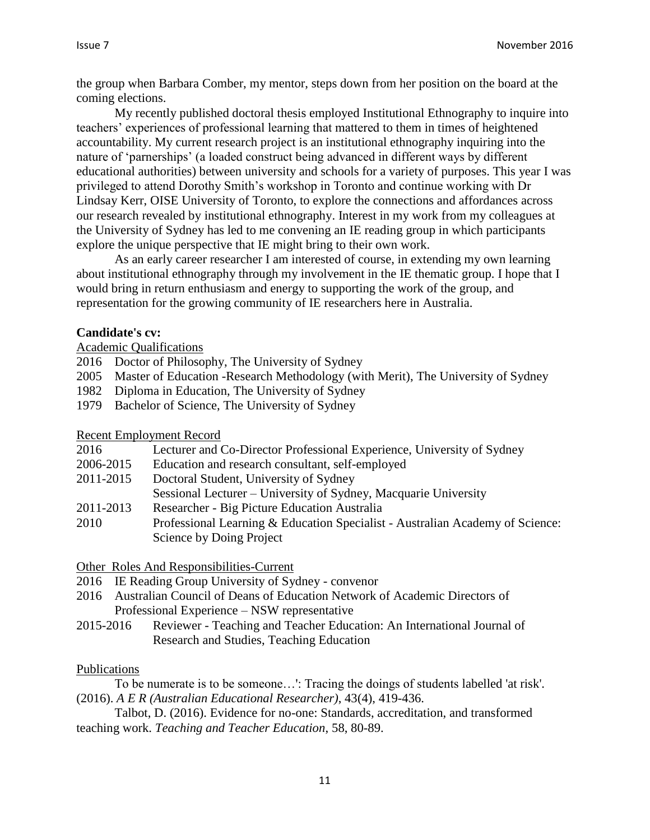the group when Barbara Comber, my mentor, steps down from her position on the board at the coming elections.

My recently published doctoral thesis employed Institutional Ethnography to inquire into teachers' experiences of professional learning that mattered to them in times of heightened accountability. My current research project is an institutional ethnography inquiring into the nature of 'parnerships' (a loaded construct being advanced in different ways by different educational authorities) between university and schools for a variety of purposes. This year I was privileged to attend Dorothy Smith's workshop in Toronto and continue working with Dr Lindsay Kerr, OISE University of Toronto, to explore the connections and affordances across our research revealed by institutional ethnography. Interest in my work from my colleagues at the University of Sydney has led to me convening an IE reading group in which participants explore the unique perspective that IE might bring to their own work.

As an early career researcher I am interested of course, in extending my own learning about institutional ethnography through my involvement in the IE thematic group. I hope that I would bring in return enthusiasm and energy to supporting the work of the group, and representation for the growing community of IE researchers here in Australia.

#### **Candidate's cv:**

Academic Qualifications

- 2016 Doctor of Philosophy, The University of Sydney
- 2005 Master of Education -Research Methodology (with Merit), The University of Sydney
- 1982 Diploma in Education, The University of Sydney
- 1979 Bachelor of Science, The University of Sydney

Recent Employment Record

| Lecturer and Co-Director Professional Experience, University of Sydney        |
|-------------------------------------------------------------------------------|
| Education and research consultant, self-employed                              |
| Doctoral Student, University of Sydney                                        |
| Sessional Lecturer – University of Sydney, Macquarie University               |
| Researcher - Big Picture Education Australia                                  |
| Professional Learning & Education Specialist - Australian Academy of Science: |
| Science by Doing Project                                                      |
|                                                                               |

Other Roles And Responsibilities-Current

- 2016 IE Reading Group University of Sydney convenor
- 2016 Australian Council of Deans of Education Network of Academic Directors of Professional Experience – NSW representative
- 2015-2016 Reviewer Teaching and Teacher Education: An International Journal of Research and Studies, Teaching Education

#### Publications

- To be numerate is to be someone…': Tracing the doings of students labelled 'at risk'. (2016). *A E R (Australian Educational Researcher)*, 43(4), 419-436.
- Talbot, D. (2016). Evidence for no-one: Standards, accreditation, and transformed teaching work. *Teaching and Teacher Education*, 58, 80-89.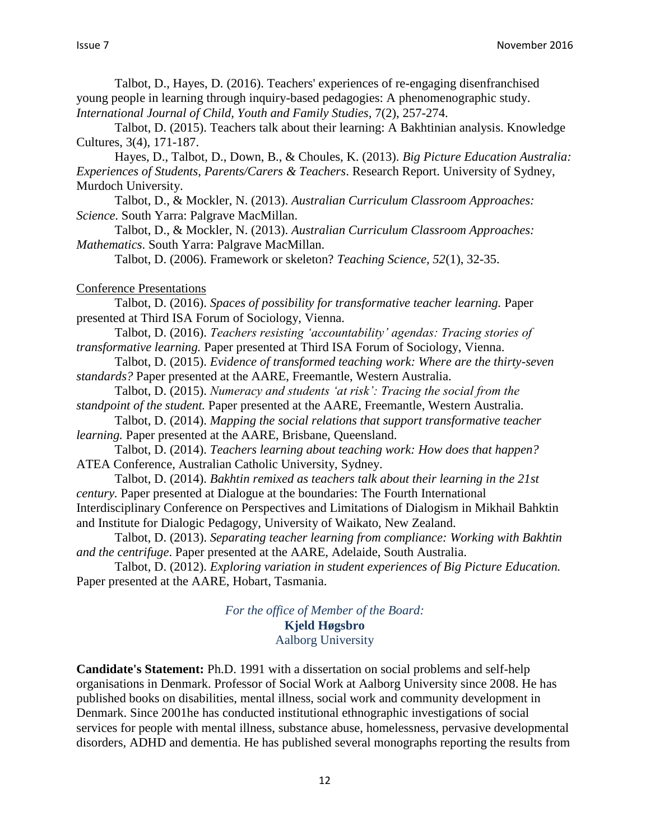Talbot, D., Hayes, D. (2016). Teachers' experiences of re-engaging disenfranchised young people in learning through inquiry-based pedagogies: A phenomenographic study. *International Journal of Child, Youth and Family Studies,* 7(2), 257-274.

Talbot, D. (2015). Teachers talk about their learning: A Bakhtinian analysis. Knowledge Cultures, 3(4), 171-187.

Hayes, D., Talbot, D., Down, B., & Choules, K. (2013). *Big Picture Education Australia: Experiences of Students, Parents/Carers & Teachers*. Research Report. University of Sydney, Murdoch University.

Talbot, D., & Mockler, N. (2013). *Australian Curriculum Classroom Approaches: Science*. South Yarra: Palgrave MacMillan.

Talbot, D., & Mockler, N. (2013). *Australian Curriculum Classroom Approaches: Mathematics*. South Yarra: Palgrave MacMillan.

Talbot, D. (2006). Framework or skeleton? *Teaching Science, 52*(1), 32-35.

Conference Presentations

Talbot, D. (2016). *Spaces of possibility for transformative teacher learning.* Paper presented at Third ISA Forum of Sociology, Vienna.

Talbot, D. (2016). *Teachers resisting 'accountability' agendas: Tracing stories of transformative learning.* Paper presented at Third ISA Forum of Sociology, Vienna.

Talbot, D. (2015). *Evidence of transformed teaching work: Where are the thirty-seven standards?* Paper presented at the AARE, Freemantle, Western Australia.

Talbot, D. (2015). *Numeracy and students 'at risk': Tracing the social from the standpoint of the student.* Paper presented at the AARE, Freemantle, Western Australia.

Talbot, D. (2014). *Mapping the social relations that support transformative teacher learning.* Paper presented at the AARE, Brisbane, Queensland.

Talbot, D. (2014). *Teachers learning about teaching work: How does that happen?* ATEA Conference, Australian Catholic University, Sydney.

Talbot, D. (2014). *Bakhtin remixed as teachers talk about their learning in the 21st century.* Paper presented at Dialogue at the boundaries: The Fourth International Interdisciplinary Conference on Perspectives and Limitations of Dialogism in Mikhail Bahktin and Institute for Dialogic Pedagogy, University of Waikato, New Zealand.

Talbot, D. (2013). *Separating teacher learning from compliance: Working with Bakhtin and the centrifuge*. Paper presented at the AARE, Adelaide, South Australia.

Talbot, D. (2012). *Exploring variation in student experiences of Big Picture Education.* Paper presented at the AARE, Hobart, Tasmania.

> *For the office of Member of the Board:* **Kjeld Høgsbro** Aalborg University

**Candidate's Statement:** Ph.D. 1991 with a dissertation on social problems and self-help organisations in Denmark. Professor of Social Work at Aalborg University since 2008. He has published books on disabilities, mental illness, social work and community development in Denmark. Since 2001he has conducted institutional ethnographic investigations of social services for people with mental illness, substance abuse, homelessness, pervasive developmental disorders, ADHD and dementia. He has published several monographs reporting the results from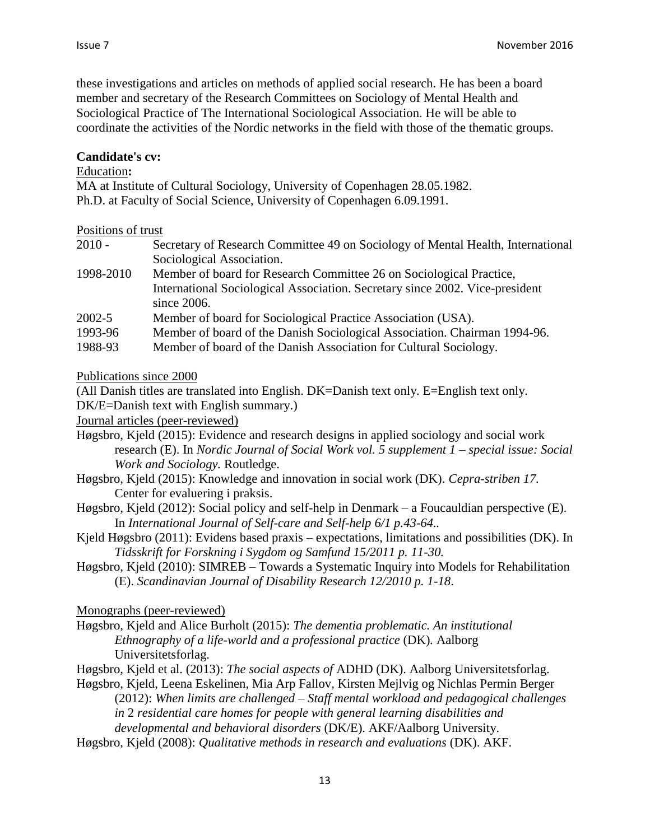these investigations and articles on methods of applied social research. He has been a board member and secretary of the Research Committees on Sociology of Mental Health and Sociological Practice of The International Sociological Association. He will be able to coordinate the activities of the Nordic networks in the field with those of the thematic groups.

#### **Candidate's cv:**

#### Education**:**

MA at Institute of Cultural Sociology, University of Copenhagen 28.05.1982. Ph.D. at Faculty of Social Science, University of Copenhagen 6.09.1991.

#### Positions of trust

| $2010 -$   | Secretary of Research Committee 49 on Sociology of Mental Health, International |
|------------|---------------------------------------------------------------------------------|
|            | Sociological Association.                                                       |
| 1998-2010  | Member of board for Research Committee 26 on Sociological Practice,             |
|            | International Sociological Association. Secretary since 2002. Vice-president    |
|            | since $2006$ .                                                                  |
| $2002 - 5$ | Member of board for Sociological Practice Association (USA).                    |
| 1993-96    | Member of board of the Danish Sociological Association. Chairman 1994-96.       |
| 1988-93    | Member of board of the Danish Association for Cultural Sociology.               |

#### Publications since 2000

(All Danish titles are translated into English. DK=Danish text only. E=English text only. DK/E=Danish text with English summary.)

Journal articles (peer-reviewed)

- Høgsbro, Kjeld (2015): Evidence and research designs in applied sociology and social work research (E). In *Nordic Journal of Social Work vol. 5 supplement 1 – special issue: Social Work and Sociology.* Routledge.
- Høgsbro, Kjeld (2015): Knowledge and innovation in social work (DK). *Cepra-striben 17.*  Center for evaluering i praksis.
- Høgsbro, Kjeld (2012): Social policy and self-help in Denmark a Foucauldian perspective (E). In *International Journal of Self-care and Self-help 6/1 p.43-64..*
- Kjeld Høgsbro (2011): Evidens based praxis expectations, limitations and possibilities (DK). In *Tidsskrift for Forskning i Sygdom og Samfund 15/2011 p. 11-30.*
- Høgsbro, Kjeld (2010): SIMREB Towards a Systematic Inquiry into Models for Rehabilitation (E). *Scandinavian Journal of Disability Research 12/2010 p. 1-18*.

Monographs (peer-reviewed)

- Høgsbro, Kjeld and Alice Burholt (2015): *The dementia problematic. An institutional Ethnography of a life-world and a professional practice* (DK)*.* Aalborg Universitetsforlag.
- Høgsbro, Kjeld et al. (2013): *The social aspects of* ADHD (DK). Aalborg Universitetsforlag.
- Høgsbro, Kjeld, Leena Eskelinen, Mia Arp Fallov, Kirsten Mejlvig og Nichlas Permin Berger (2012): *When limits are challenged – Staff mental workload and pedagogical challenges in* 2 *residential care homes for people with general learning disabilities and developmental and behavioral disorders* (DK/E). AKF/Aalborg University.
- Høgsbro, Kjeld (2008): *Qualitative methods in research and evaluations* (DK). AKF.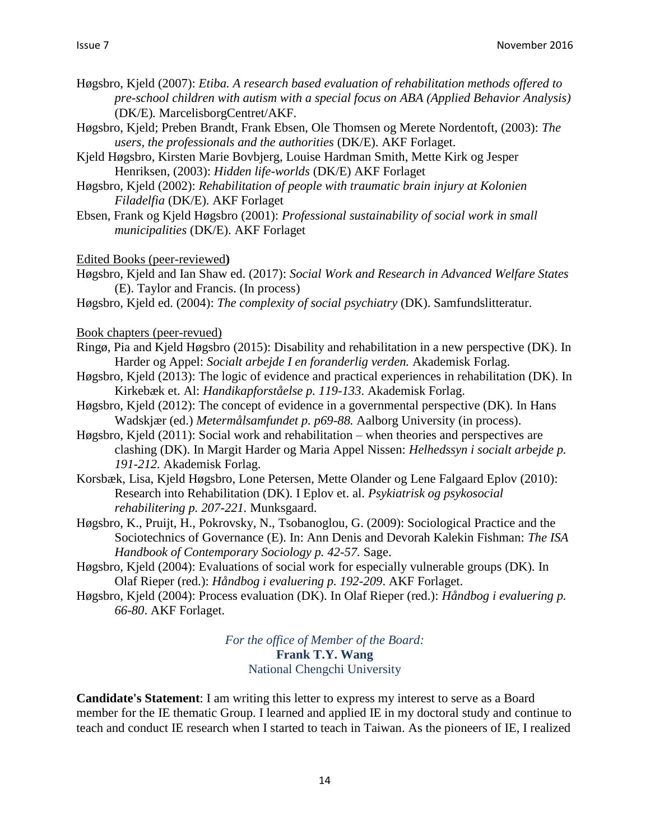- Høgsbro, Kjeld (2007): *Etiba. A research based evaluation of rehabilitation methods offered to pre-school children with autism with a special focus on ABA (Applied Behavior Analysis)*  (DK/E)*.* MarcelisborgCentret/AKF.
- Høgsbro, Kjeld; Preben Brandt, Frank Ebsen, Ole Thomsen og Merete Nordentoft, (2003): *The users, the professionals and the authorities* (DK/E). AKF Forlaget.
- Kjeld Høgsbro, Kirsten Marie Bovbjerg, Louise Hardman Smith, Mette Kirk og Jesper Henriksen, (2003): *Hidden life-worlds* (DK/E) AKF Forlaget
- Høgsbro, Kjeld (2002): *Rehabilitation of people with traumatic brain injury at Kolonien Filadelfia* (DK/E). AKF Forlaget
- Ebsen, Frank og Kjeld Høgsbro (2001): *Professional sustainability of social work in small municipalities* (DK/E). AKF Forlaget

Edited Books (peer-reviewed**)** 

- Høgsbro, Kjeld and Ian Shaw ed. (2017): *Social Work and Research in Advanced Welfare States*  (E). Taylor and Francis. (In process)
- Høgsbro, Kjeld ed. (2004): *The complexity of social psychiatry* (DK). Samfundslitteratur.

Book chapters (peer-revued)

- Ringø, Pia and Kjeld Høgsbro (2015): Disability and rehabilitation in a new perspective (DK). In Harder og Appel: *Socialt arbejde I en foranderlig verden.* Akademisk Forlag.
- Høgsbro, Kjeld (2013): The logic of evidence and practical experiences in rehabilitation (DK). In Kirkebæk et. Al: *Handikapforståelse p. 119-133*. Akademisk Forlag.
- Høgsbro, Kjeld (2012): The concept of evidence in a governmental perspective (DK). In Hans Wadskjær (ed.) *Metermålsamfundet p. p69-88.* Aalborg University (in process).
- Høgsbro, Kjeld (2011): Social work and rehabilitation when theories and perspectives are clashing (DK). In Margit Harder og Maria Appel Nissen: *Helhedssyn i socialt arbejde p. 191-212.* Akademisk Forlag.
- Korsbæk, Lisa, Kjeld Høgsbro, Lone Petersen, Mette Olander og Lene Falgaard Eplov (2010): Research into Rehabilitation (DK). I Eplov et. al. *Psykiatrisk og psykosocial rehabilitering p. 207-221.* Munksgaard.
- Høgsbro, K., Pruijt, H., Pokrovsky, N., Tsobanoglou, G. (2009): Sociological Practice and the Sociotechnics of Governance (E). In: Ann Denis and Devorah Kalekin Fishman: *The ISA Handbook of Contemporary Sociology p. 42-57.* Sage.
- Høgsbro, Kjeld (2004): Evaluations of social work for especially vulnerable groups (DK). In Olaf Rieper (red.): *Håndbog i evaluering p. 192-209*. AKF Forlaget.
- Høgsbro, Kjeld (2004): Process evaluation (DK). In Olaf Rieper (red.): *Håndbog i evaluering p. 66-80*. AKF Forlaget.

*For the office of Member of the Board:* **Frank T.Y. Wang** National Chengchi University

**Candidate's Statement**: I am writing this letter to express my interest to serve as a Board member for the IE thematic Group. I learned and applied IE in my doctoral study and continue to teach and conduct IE research when I started to teach in Taiwan. As the pioneers of IE, I realized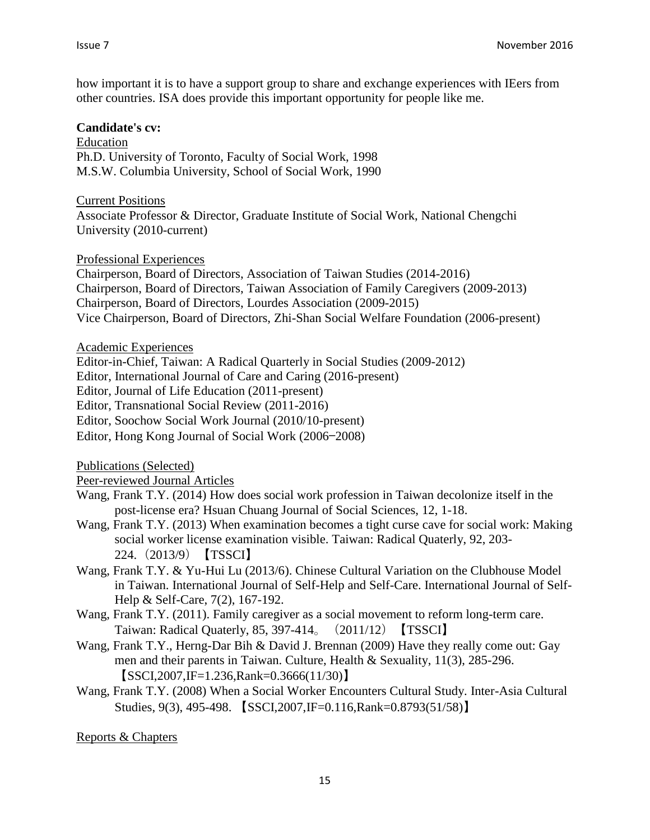how important it is to have a support group to share and exchange experiences with IEers from other countries. ISA does provide this important opportunity for people like me.

#### **Candidate's cv:**

Education Ph.D. University of Toronto, Faculty of Social Work, 1998 M.S.W. Columbia University, School of Social Work, 1990

Current Positions Associate Professor & Director, Graduate Institute of Social Work, National Chengchi University (2010-current)

Professional Experiences

Chairperson, Board of Directors, Association of Taiwan Studies (2014-2016) Chairperson, Board of Directors, Taiwan Association of Family Caregivers (2009-2013) Chairperson, Board of Directors, Lourdes Association (2009-2015) Vice Chairperson, Board of Directors, Zhi-Shan Social Welfare Foundation (2006-present)

Academic Experiences

Editor-in-Chief, Taiwan: A Radical Quarterly in Social Studies (2009-2012)

Editor, International Journal of Care and Caring (2016-present)

Editor, Journal of Life Education (2011-present)

Editor, Transnational Social Review (2011-2016)

Editor, Soochow Social Work Journal (2010/10-present)

Editor, Hong Kong Journal of Social Work (2006—2008)

Publications (Selected)

Peer-reviewed Journal Articles

- Wang, Frank T.Y. (2014) How does social work profession in Taiwan decolonize itself in the post-license era? Hsuan Chuang Journal of Social Sciences, 12, 1-18.
- Wang, Frank T.Y. (2013) When examination becomes a tight curse cave for social work: Making social worker license examination visible. Taiwan: Radical Quaterly, 92, 203- 224.(2013/9)【TSSCI】
- Wang, Frank T.Y. & Yu-Hui Lu (2013/6). Chinese Cultural Variation on the Clubhouse Model in Taiwan. International Journal of Self-Help and Self-Care. International Journal of Self-Help & Self-Care, 7(2), 167-192.
- Wang, Frank T.Y. (2011). Family caregiver as a social movement to reform long-term care. Taiwan: Radical Quaterly, 85, 397-414。(2011/12)【TSSCI】
- Wang, Frank T.Y., Herng-Dar Bih & David J. Brennan (2009) Have they really come out: Gay men and their parents in Taiwan. Culture, Health & Sexuality, 11(3), 285-296.  $[SSCI, 2007, IF=1.236, Rank=0.3666(11/30)]$
- Wang, Frank T.Y. (2008) When a Social Worker Encounters Cultural Study. Inter-Asia Cultural Studies, 9(3), 495-498. 【SSCI,2007,IF=0.116,Rank=0.8793(51/58)】

Reports & Chapters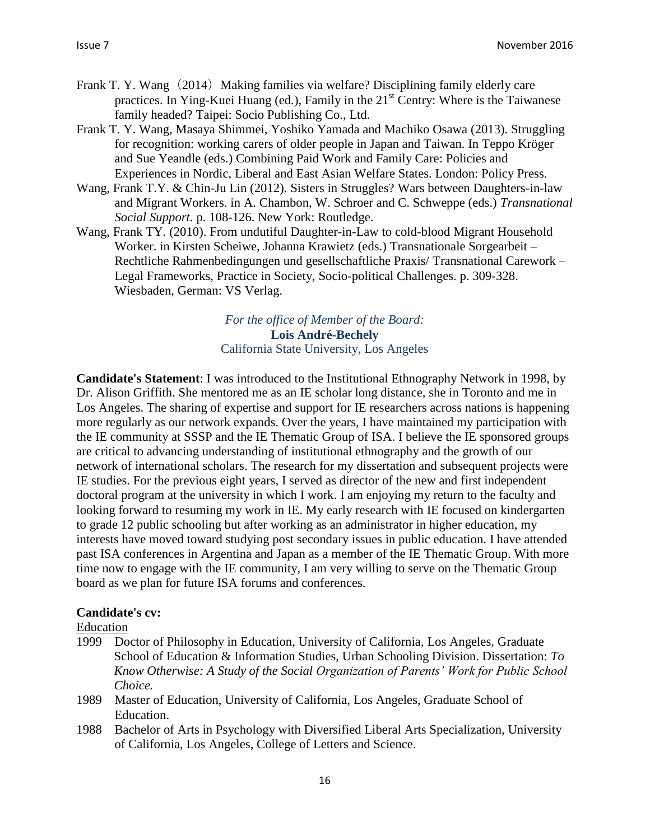- Frank T. Y. Wang (2014) Making families via welfare? Disciplining family elderly care practices. In Ying-Kuei Huang (ed.), Family in the  $21<sup>st</sup>$  Centry: Where is the Taiwanese family headed? Taipei: Socio Publishing Co., Ltd.
- Frank T. Y. Wang, Masaya Shimmei, Yoshiko Yamada and Machiko Osawa (2013). Struggling for recognition: working carers of older people in Japan and Taiwan. In Teppo Kröger and Sue Yeandle (eds.) Combining Paid Work and Family Care: Policies and Experiences in Nordic, Liberal and East Asian Welfare States. London: Policy Press.
- Wang, Frank T.Y. & Chin-Ju Lin (2012). Sisters in Struggles? Wars between Daughters-in-law and Migrant Workers. in A. Chambon, W. Schroer and C. Schweppe (eds.) *Transnational Social Support.* p. 108-126. New York: Routledge.
- Wang, Frank TY. (2010). From undutiful Daughter-in-Law to cold-blood Migrant Household Worker. in Kirsten Scheiwe, Johanna Krawietz (eds.) Transnationale Sorgearbeit – Rechtliche Rahmenbedingungen und gesellschaftliche Praxis/ Transnational Carework – Legal Frameworks, Practice in Society, Socio-political Challenges. p. 309-328. Wiesbaden, German: VS Verlag.

*For the office of Member of the Board:* **Lois André-Bechely** California State University, Los Angeles

**Candidate's Statement**: I was introduced to the Institutional Ethnography Network in 1998, by Dr. Alison Griffith. She mentored me as an IE scholar long distance, she in Toronto and me in Los Angeles. The sharing of expertise and support for IE researchers across nations is happening more regularly as our network expands. Over the years, I have maintained my participation with the IE community at SSSP and the IE Thematic Group of ISA. I believe the IE sponsored groups are critical to advancing understanding of institutional ethnography and the growth of our network of international scholars. The research for my dissertation and subsequent projects were IE studies. For the previous eight years, I served as director of the new and first independent doctoral program at the university in which I work. I am enjoying my return to the faculty and looking forward to resuming my work in IE. My early research with IE focused on kindergarten to grade 12 public schooling but after working as an administrator in higher education, my interests have moved toward studying post secondary issues in public education. I have attended past ISA conferences in Argentina and Japan as a member of the IE Thematic Group. With more time now to engage with the IE community, I am very willing to serve on the Thematic Group board as we plan for future ISA forums and conferences.

#### **Candidate's cv:**

#### Education

- 1999 Doctor of Philosophy in Education, University of California, Los Angeles, Graduate School of Education & Information Studies, Urban Schooling Division. Dissertation: *To Know Otherwise: A Study of the Social Organization of Parents' Work for Public School Choice.*
- 1989 Master of Education, University of California, Los Angeles, Graduate School of Education.
- 1988 Bachelor of Arts in Psychology with Diversified Liberal Arts Specialization, University of California, Los Angeles, College of Letters and Science.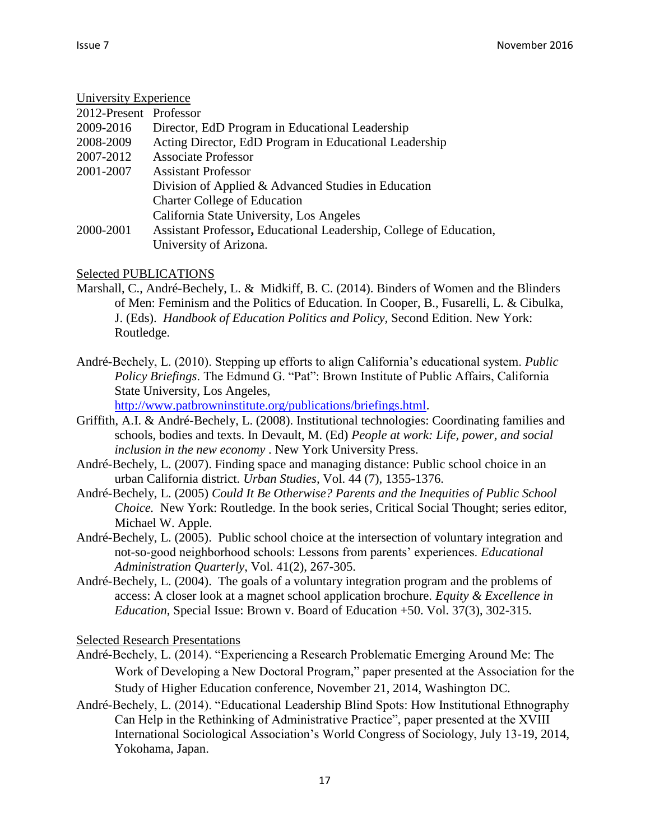#### University Experience

| $CIII$ versity $LIV$ perfective |                                                                    |
|---------------------------------|--------------------------------------------------------------------|
| 2012-Present Professor          |                                                                    |
| 2009-2016                       | Director, EdD Program in Educational Leadership                    |
| 2008-2009                       | Acting Director, EdD Program in Educational Leadership             |
| 2007-2012                       | <b>Associate Professor</b>                                         |
| 2001-2007                       | <b>Assistant Professor</b>                                         |
|                                 | Division of Applied & Advanced Studies in Education                |
|                                 | <b>Charter College of Education</b>                                |
|                                 | California State University, Los Angeles                           |
| 2000-2001                       | Assistant Professor, Educational Leadership, College of Education, |
|                                 | University of Arizona.                                             |

Selected PUBLICATIONS

- Marshall, C., André-Bechely, L. & Midkiff, B. C. (2014). Binders of Women and the Blinders of Men: Feminism and the Politics of Education. In Cooper, B., Fusarelli, L. & Cibulka, J. (Eds). *Handbook of Education Politics and Policy,* Second Edition. New York: Routledge.
- André-Bechely, L. (2010). Stepping up efforts to align California's educational system. *Public Policy Briefings*. The Edmund G. "Pat": Brown Institute of Public Affairs, California State University, Los Angeles,

[http://www.patbrowninstitute.org/publications/briefings.html.](http://www.patbrowninstitute.org/publications/briefings.html)

- Griffith, A.I. & André-Bechely, L. (2008). Institutional technologies: Coordinating families and schools, bodies and texts. In Devault, M. (Ed) *People at work: Life, power, and social inclusion in the new economy* . New York University Press.
- André-Bechely, L. (2007). Finding space and managing distance: Public school choice in an urban California district. *Urban Studies,* Vol. 44 (7), 1355-1376.
- André-Bechely, L. (2005) *Could It Be Otherwise? Parents and the Inequities of Public School Choice.* New York: Routledge. In the book series, Critical Social Thought; series editor, Michael W. Apple.
- André-Bechely, L. (2005). Public school choice at the intersection of voluntary integration and not-so-good neighborhood schools: Lessons from parents' experiences. *Educational Administration Quarterly*, Vol. 41(2), 267-305.
- André-Bechely, L. (2004). The goals of a voluntary integration program and the problems of access: A closer look at a magnet school application brochure. *Equity & Excellence in Education*, Special Issue: Brown v. Board of Education +50. Vol. 37(3), 302-315.

Selected Research Presentations

- André-Bechely, L. (2014). "Experiencing a Research Problematic Emerging Around Me: The Work of Developing a New Doctoral Program," paper presented at the Association for the Study of Higher Education conference, November 21, 2014, Washington DC.
- André-Bechely, L. (2014). "Educational Leadership Blind Spots: How Institutional Ethnography Can Help in the Rethinking of Administrative Practice", paper presented at the XVIII International Sociological Association's World Congress of Sociology, July 13-19, 2014, Yokohama, Japan.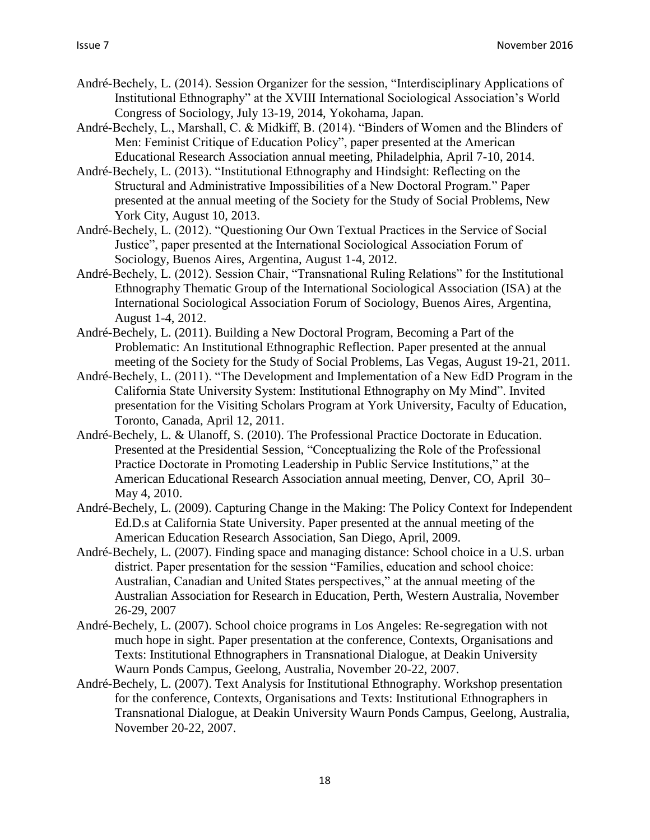- André-Bechely, L. (2014). Session Organizer for the session, "Interdisciplinary Applications of Institutional Ethnography" at the XVIII International Sociological Association's World Congress of Sociology, July 13-19, 2014, Yokohama, Japan.
- André-Bechely, L., Marshall, C. & Midkiff, B. (2014). "Binders of Women and the Blinders of Men: Feminist Critique of Education Policy", paper presented at the American Educational Research Association annual meeting, Philadelphia, April 7-10, 2014.
- André-Bechely, L. (2013). "Institutional Ethnography and Hindsight: Reflecting on the Structural and Administrative Impossibilities of a New Doctoral Program." Paper presented at the annual meeting of the Society for the Study of Social Problems, New York City, August 10, 2013.
- André-Bechely, L. (2012). "Questioning Our Own Textual Practices in the Service of Social Justice", paper presented at the International Sociological Association Forum of Sociology, Buenos Aires, Argentina, August 1-4, 2012.
- André-Bechely, L. (2012). Session Chair, "Transnational Ruling Relations" for the Institutional Ethnography Thematic Group of the International Sociological Association (ISA) at the International Sociological Association Forum of Sociology, Buenos Aires, Argentina, August 1-4, 2012.
- André-Bechely, L. (2011). Building a New Doctoral Program, Becoming a Part of the Problematic: An Institutional Ethnographic Reflection. Paper presented at the annual meeting of the Society for the Study of Social Problems, Las Vegas, August 19-21, 2011.
- André-Bechely, L. (2011). "The Development and Implementation of a New EdD Program in the California State University System: Institutional Ethnography on My Mind". Invited presentation for the Visiting Scholars Program at York University, Faculty of Education, Toronto, Canada, April 12, 2011.
- André-Bechely, L. & Ulanoff, S. (2010). The Professional Practice Doctorate in Education. Presented at the Presidential Session, "Conceptualizing the Role of the Professional Practice Doctorate in Promoting Leadership in Public Service Institutions," at the American Educational Research Association annual meeting, Denver, CO, April 30– May 4, 2010.
- André-Bechely, L. (2009). Capturing Change in the Making: The Policy Context for Independent Ed.D.s at California State University. Paper presented at the annual meeting of the American Education Research Association, San Diego, April, 2009.
- André-Bechely, L. (2007). Finding space and managing distance: School choice in a U.S. urban district. Paper presentation for the session "Families, education and school choice: Australian, Canadian and United States perspectives," at the annual meeting of the Australian Association for Research in Education, Perth, Western Australia, November 26-29, 2007
- André-Bechely, L. (2007). School choice programs in Los Angeles: Re-segregation with not much hope in sight. Paper presentation at the conference, Contexts, Organisations and Texts: Institutional Ethnographers in Transnational Dialogue, at Deakin University Waurn Ponds Campus, Geelong, Australia, November 20-22, 2007.
- André-Bechely, L. (2007). Text Analysis for Institutional Ethnography. Workshop presentation for the conference, Contexts, Organisations and Texts: Institutional Ethnographers in Transnational Dialogue, at Deakin University Waurn Ponds Campus, Geelong, Australia, November 20-22, 2007.